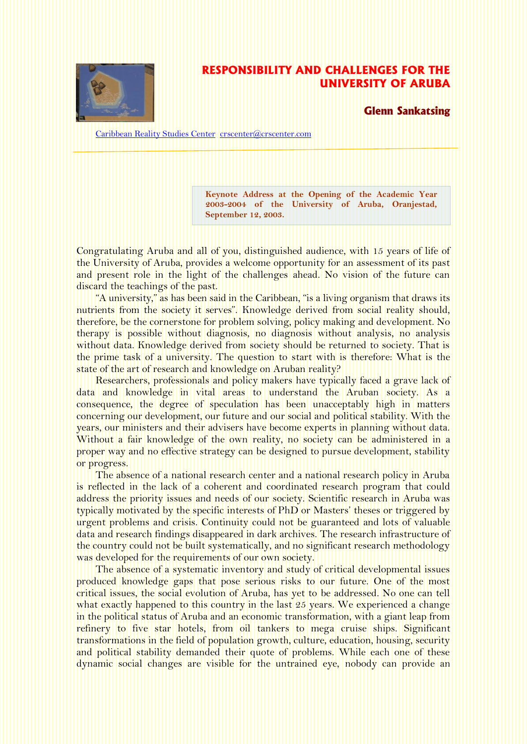

## **RESPONSIBILITY AND CHALLENGES FOR THE UNIVERSITY OF ARUBA**

**Glenn Sankatsing**

[Caribbean Reality Studies Center](http://www.crscenter.com/) [crscenter@crscenter.com](mailto:crscenter@crscenter.com)

**Keynote Address at the Opening of the Academic Year 2003-2004 of the University of Aruba, Oranjestad, September 12, 2003.**

Congratulating Aruba and all of you, distinguished audience, with 15 years of life of the University of Aruba, provides a welcome opportunity for an assessment of its past and present role in the light of the challenges ahead. No vision of the future can discard the teachings of the past.

"A university," as has been said in the Caribbean, "is a living organism that draws its nutrients from the society it serves". Knowledge derived from social reality should, therefore, be the cornerstone for problem solving, policy making and development. No therapy is possible without diagnosis, no diagnosis without analysis, no analysis without data. Knowledge derived from society should be returned to society. That is the prime task of a university. The question to start with is therefore: What is the state of the art of research and knowledge on Aruban reality?

Researchers, professionals and policy makers have typically faced a grave lack of data and knowledge in vital areas to understand the Aruban society. As a consequence, the degree of speculation has been unacceptably high in matters concerning our development, our future and our social and political stability. With the years, our ministers and their advisers have become experts in planning without data. Without a fair knowledge of the own reality, no society can be administered in a proper way and no effective strategy can be designed to pursue development, stability or progress.

The absence of a national research center and a national research policy in Aruba is reflected in the lack of a coherent and coordinated research program that could address the priority issues and needs of our society. Scientific research in Aruba was typically motivated by the specific interests of PhD or Masters' theses or triggered by urgent problems and crisis. Continuity could not be guaranteed and lots of valuable data and research findings disappeared in dark archives. The research infrastructure of the country could not be built systematically, and no significant research methodology was developed for the requirements of our own society.

The absence of a systematic inventory and study of critical developmental issues produced knowledge gaps that pose serious risks to our future. One of the most critical issues, the social evolution of Aruba, has yet to be addressed. No one can tell what exactly happened to this country in the last 25 years. We experienced a change in the political status of Aruba and an economic transformation, with a giant leap from refinery to five star hotels, from oil tankers to mega cruise ships. Significant transformations in the field of population growth, culture, education, housing, security and political stability demanded their quote of problems. While each one of these dynamic social changes are visible for the untrained eye, nobody can provide an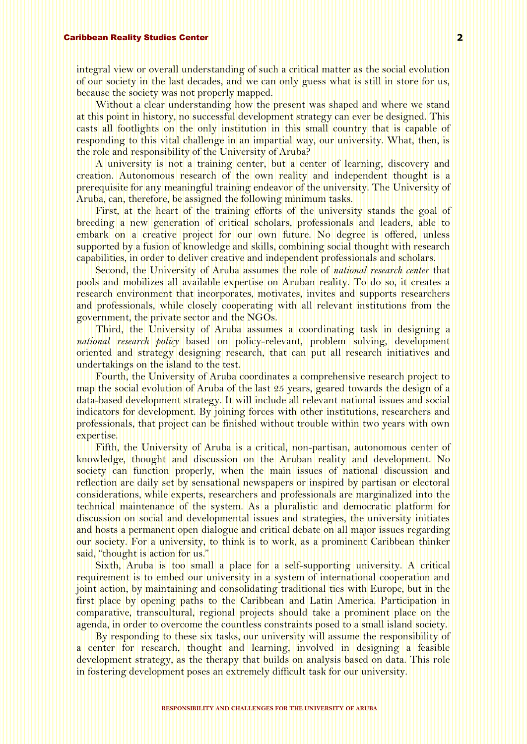integral view or overall understanding of such a critical matter as the social evolution of our society in the last decades, and we can only guess what is still in store for us, because the society was not properly mapped.

Without a clear understanding how the present was shaped and where we stand at this point in history, no successful development strategy can ever be designed. This casts all footlights on the only institution in this small country that is capable of responding to this vital challenge in an impartial way, our university. What, then, is the role and responsibility of the University of Aruba?

A university is not a training center, but a center of learning, discovery and creation. Autonomous research of the own reality and independent thought is a prerequisite for any meaningful training endeavor of the university. The University of Aruba, can, therefore, be assigned the following minimum tasks.

First, at the heart of the training efforts of the university stands the goal of breeding a new generation of critical scholars, professionals and leaders, able to embark on a creative project for our own future. No degree is offered, unless supported by a fusion of knowledge and skills, combining social thought with research capabilities, in order to deliver creative and independent professionals and scholars.

Second, the University of Aruba assumes the role of *national research center* that pools and mobilizes all available expertise on Aruban reality. To do so, it creates a research environment that incorporates, motivates, invites and supports researchers and professionals, while closely cooperating with all relevant institutions from the government, the private sector and the NGOs.

Third, the University of Aruba assumes a coordinating task in designing a *national research policy* based on policy-relevant, problem solving, development oriented and strategy designing research, that can put all research initiatives and undertakings on the island to the test.

Fourth, the University of Aruba coordinates a comprehensive research project to map the social evolution of Aruba of the last 25 years, geared towards the design of a data-based development strategy. It will include all relevant national issues and social indicators for development. By joining forces with other institutions, researchers and professionals, that project can be finished without trouble within two years with own expertise.

Fifth, the University of Aruba is a critical, non-partisan, autonomous center of knowledge, thought and discussion on the Aruban reality and development. No society can function properly, when the main issues of national discussion and reflection are daily set by sensational newspapers or inspired by partisan or electoral considerations, while experts, researchers and professionals are marginalized into the technical maintenance of the system. As a pluralistic and democratic platform for discussion on social and developmental issues and strategies, the university initiates and hosts a permanent open dialogue and critical debate on all major issues regarding our society. For a university, to think is to work, as a prominent Caribbean thinker said, "thought is action for us."

Sixth, Aruba is too small a place for a self-supporting university. A critical requirement is to embed our university in a system of international cooperation and joint action, by maintaining and consolidating traditional ties with Europe, but in the first place by opening paths to the Caribbean and Latin America. Participation in comparative, transcultural, regional projects should take a prominent place on the agenda, in order to overcome the countless constraints posed to a small island society.

By responding to these six tasks, our university will assume the responsibility of a center for research, thought and learning, involved in designing a feasible development strategy, as the therapy that builds on analysis based on data. This role in fostering development poses an extremely difficult task for our university.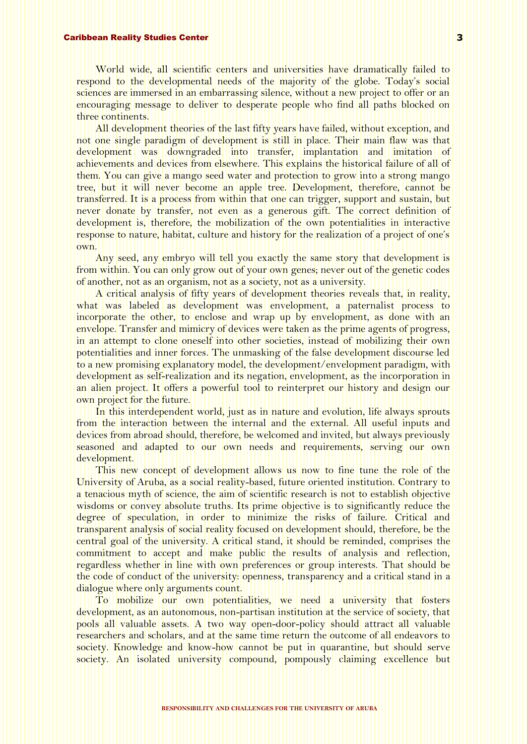## Caribbean Reality Studies Center

World wide, all scientific centers and universities have dramatically failed to respond to the developmental needs of the majority of the globe. Today's social sciences are immersed in an embarrassing silence, without a new project to offer or an encouraging message to deliver to desperate people who find all paths blocked on three continents.

All development theories of the last fifty years have failed, without exception, and not one single paradigm of development is still in place. Their main flaw was that development was downgraded into transfer, implantation and imitation of achievements and devices from elsewhere. This explains the historical failure of all of them. You can give a mango seed water and protection to grow into a strong mango tree, but it will never become an apple tree. Development, therefore, cannot be transferred. It is a process from within that one can trigger, support and sustain, but never donate by transfer, not even as a generous gift. The correct definition of development is, therefore, the mobilization of the own potentialities in interactive response to nature, habitat, culture and history for the realization of a project of one's own.

Any seed, any embryo will tell you exactly the same story that development is from within. You can only grow out of your own genes; never out of the genetic codes of another, not as an organism, not as a society, not as a university.

A critical analysis of fifty years of development theories reveals that, in reality, what was labeled as development was envelopment, a paternalist process to incorporate the other, to enclose and wrap up by envelopment, as done with an envelope. Transfer and mimicry of devices were taken as the prime agents of progress, in an attempt to clone oneself into other societies, instead of mobilizing their own potentialities and inner forces. The unmasking of the false development discourse led to a new promising explanatory model, the development/envelopment paradigm, with development as self-realization and its negation, envelopment, as the incorporation in an alien project. It offers a powerful tool to reinterpret our history and design our own project for the future.

In this interdependent world, just as in nature and evolution, life always sprouts from the interaction between the internal and the external. All useful inputs and devices from abroad should, therefore, be welcomed and invited, but always previously seasoned and adapted to our own needs and requirements, serving our own development.

This new concept of development allows us now to fine tune the role of the University of Aruba, as a social reality-based, future oriented institution. Contrary to a tenacious myth of science, the aim of scientific research is not to establish objective wisdoms or convey absolute truths. Its prime objective is to significantly reduce the degree of speculation, in order to minimize the risks of failure. Critical and transparent analysis of social reality focused on development should, therefore, be the central goal of the university. A critical stand, it should be reminded, comprises the commitment to accept and make public the results of analysis and reflection, regardless whether in line with own preferences or group interests. That should be the code of conduct of the university: openness, transparency and a critical stand in a dialogue where only arguments count.

To mobilize our own potentialities, we need a university that fosters development, as an autonomous, non-partisan institution at the service of society, that pools all valuable assets. A two way open-door-policy should attract all valuable researchers and scholars, and at the same time return the outcome of all endeavors to society. Knowledge and know-how cannot be put in quarantine, but should serve society. An isolated university compound, pompously claiming excellence but